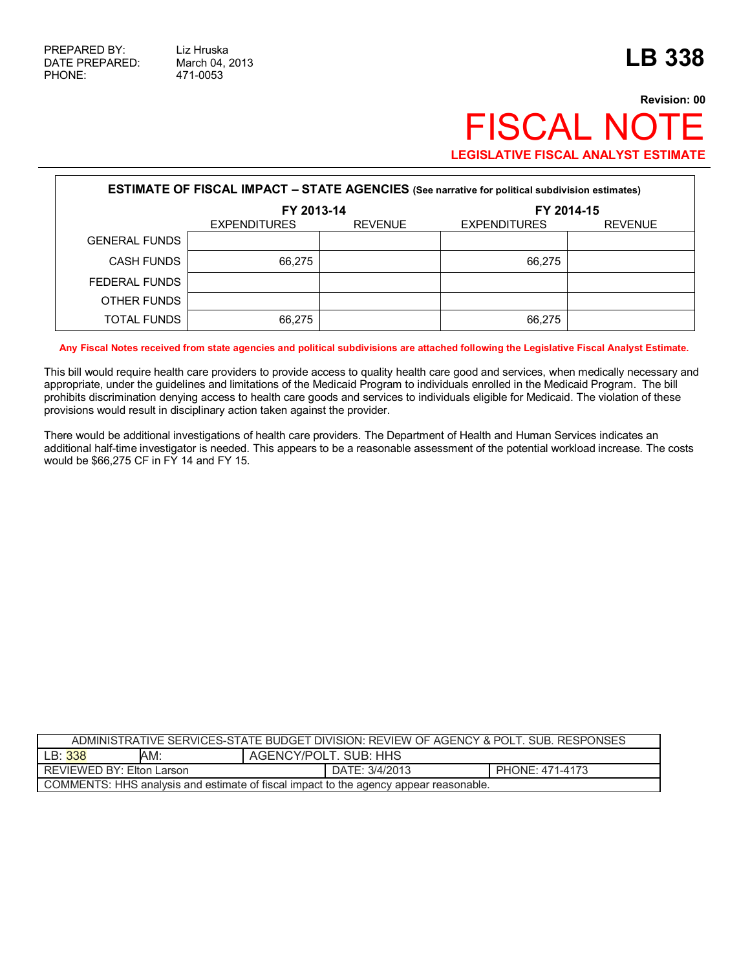## **Revision: 00** FISCAL NOTE **LEGISLATIVE FISCAL ANALYST ESTIMATE**

| <b>ESTIMATE OF FISCAL IMPACT - STATE AGENCIES</b> (See narrative for political subdivision estimates) |                     |                |                     |                |  |  |  |  |
|-------------------------------------------------------------------------------------------------------|---------------------|----------------|---------------------|----------------|--|--|--|--|
|                                                                                                       | FY 2013-14          |                | FY 2014-15          |                |  |  |  |  |
|                                                                                                       | <b>EXPENDITURES</b> | <b>REVENUE</b> | <b>EXPENDITURES</b> | <b>REVENUE</b> |  |  |  |  |
| <b>GENERAL FUNDS</b>                                                                                  |                     |                |                     |                |  |  |  |  |
| <b>CASH FUNDS</b>                                                                                     | 66.275              |                | 66.275              |                |  |  |  |  |
| FEDERAL FUNDS                                                                                         |                     |                |                     |                |  |  |  |  |
| OTHER FUNDS                                                                                           |                     |                |                     |                |  |  |  |  |
| <b>TOTAL FUNDS</b>                                                                                    | 66.275              |                | 66.275              |                |  |  |  |  |

**Any Fiscal Notes received from state agencies and political subdivisions are attached following the Legislative Fiscal Analyst Estimate.** 

This bill would require health care providers to provide access to quality health care good and services, when medically necessary and appropriate, under the guidelines and limitations of the Medicaid Program to individuals enrolled in the Medicaid Program. The bill prohibits discrimination denying access to health care goods and services to individuals eligible for Medicaid. The violation of these provisions would result in disciplinary action taken against the provider.

There would be additional investigations of health care providers. The Department of Health and Human Services indicates an additional half-time investigator is needed. This appears to be a reasonable assessment of the potential workload increase. The costs would be \$66,275 CF in FY 14 and FY 15.

| ADMINISTRATIVE SERVICES-STATE BUDGET DIVISION: REVIEW OF AGENCY & POLT. SUB. RESPONSES |                       |                 |  |  |  |
|----------------------------------------------------------------------------------------|-----------------------|-----------------|--|--|--|
| LB: 338<br>AM:                                                                         | AGENCY/POLT, SUB: HHS |                 |  |  |  |
| <b>REVIEWED BY: Elton Larson</b>                                                       | DATE: 3/4/2013        | PHONE: 471-4173 |  |  |  |
| COMMENTS: HHS analysis and estimate of fiscal impact to the agency appear reasonable.  |                       |                 |  |  |  |